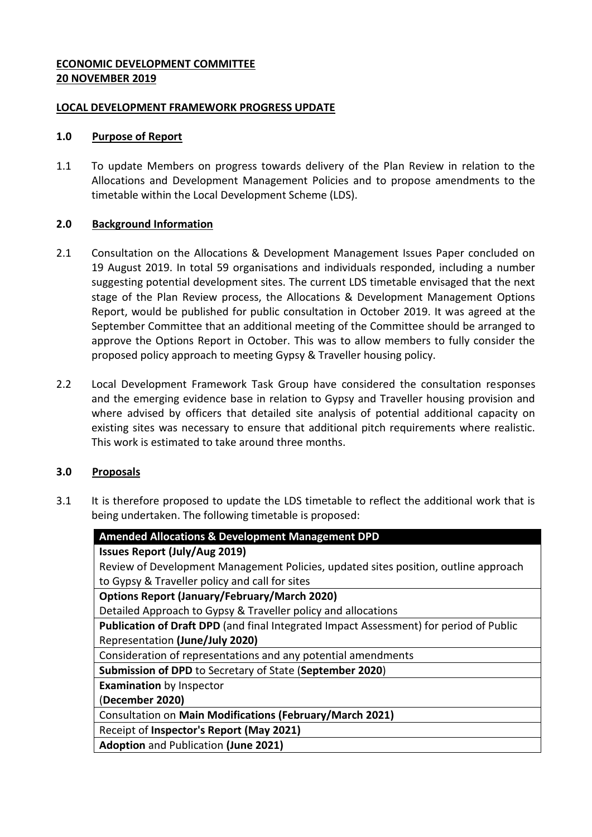### **ECONOMIC DEVELOPMENT COMMITTEE 20 NOVEMBER 2019**

### **LOCAL DEVELOPMENT FRAMEWORK PROGRESS UPDATE**

### **1.0 Purpose of Report**

1.1 To update Members on progress towards delivery of the Plan Review in relation to the Allocations and Development Management Policies and to propose amendments to the timetable within the Local Development Scheme (LDS).

### **2.0 Background Information**

- 2.1 Consultation on the Allocations & Development Management Issues Paper concluded on 19 August 2019. In total 59 organisations and individuals responded, including a number suggesting potential development sites. The current LDS timetable envisaged that the next stage of the Plan Review process, the Allocations & Development Management Options Report, would be published for public consultation in October 2019. It was agreed at the September Committee that an additional meeting of the Committee should be arranged to approve the Options Report in October. This was to allow members to fully consider the proposed policy approach to meeting Gypsy & Traveller housing policy.
- 2.2 Local Development Framework Task Group have considered the consultation responses and the emerging evidence base in relation to Gypsy and Traveller housing provision and where advised by officers that detailed site analysis of potential additional capacity on existing sites was necessary to ensure that additional pitch requirements where realistic. This work is estimated to take around three months.

# **3.0 Proposals**

3.1 It is therefore proposed to update the LDS timetable to reflect the additional work that is being undertaken. The following timetable is proposed:

| <b>Amended Allocations &amp; Development Management DPD</b>                            |
|----------------------------------------------------------------------------------------|
| <b>Issues Report (July/Aug 2019)</b>                                                   |
| Review of Development Management Policies, updated sites position, outline approach    |
| to Gypsy & Traveller policy and call for sites                                         |
| <b>Options Report (January/February/March 2020)</b>                                    |
| Detailed Approach to Gypsy & Traveller policy and allocations                          |
| Publication of Draft DPD (and final Integrated Impact Assessment) for period of Public |
| Representation (June/July 2020)                                                        |
| Consideration of representations and any potential amendments                          |
| Submission of DPD to Secretary of State (September 2020)                               |
| <b>Examination</b> by Inspector                                                        |
| (December 2020)                                                                        |
| Consultation on Main Modifications (February/March 2021)                               |
| Receipt of Inspector's Report (May 2021)                                               |
| <b>Adoption and Publication (June 2021)</b>                                            |